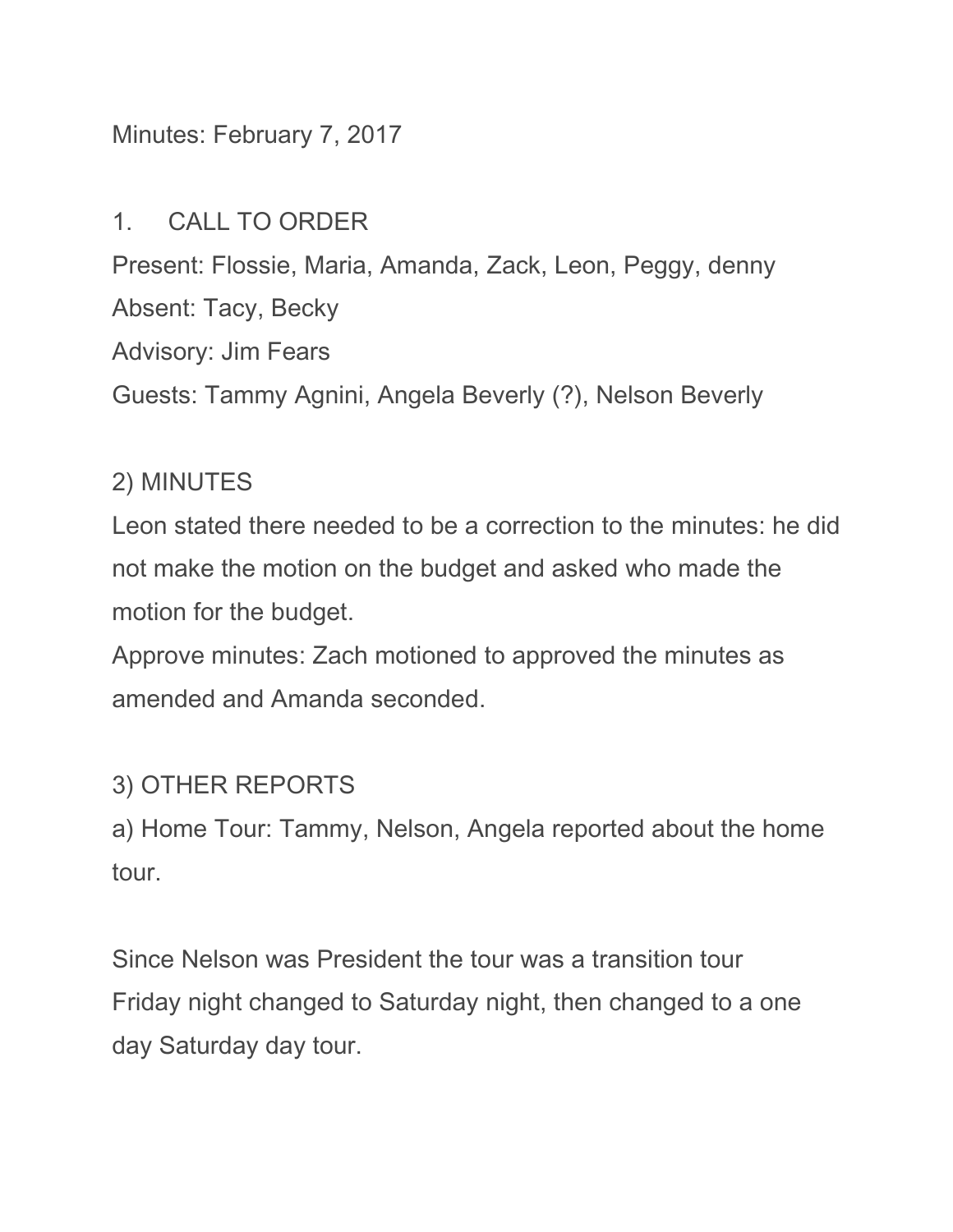### Minutes: February 7, 2017

#### 1. CALL TO ORDER

Present: Flossie, Maria, Amanda, Zack, Leon, Peggy, denny Absent: Tacy, Becky Advisory: Jim Fears Guests: Tammy Agnini, Angela Beverly (?), Nelson Beverly

### 2) MINUTES

Leon stated there needed to be a correction to the minutes: he did not make the motion on the budget and asked who made the motion for the budget.

Approve minutes: Zach motioned to approved the minutes as amended and Amanda seconded.

# 3) OTHER REPORTS

a) Home Tour: Tammy, Nelson, Angela reported about the home tour.

Since Nelson was President the tour was a transition tour Friday night changed to Saturday night, then changed to a one day Saturday day tour.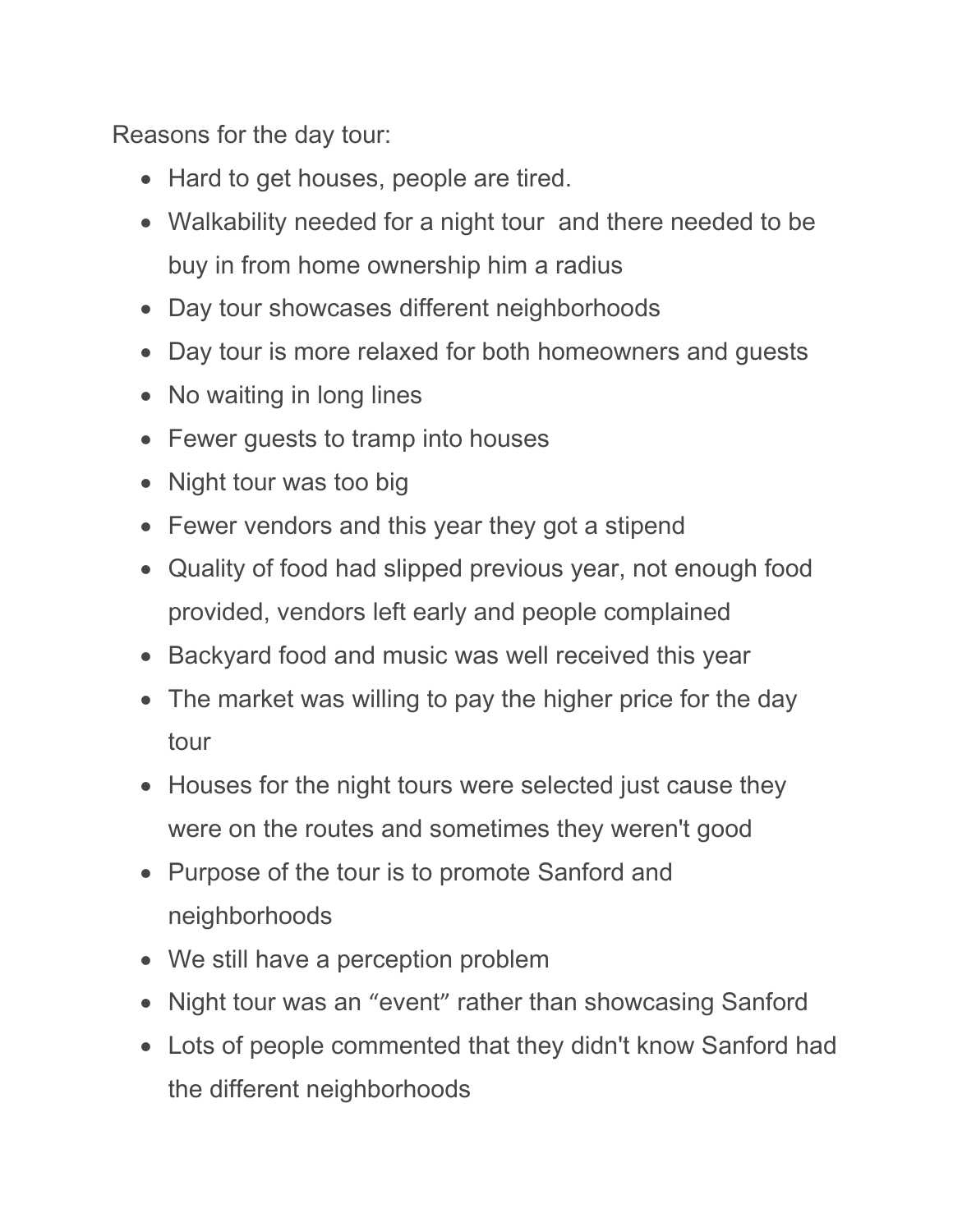Reasons for the day tour:

- Hard to get houses, people are tired.
- Walkability needed for a night tour and there needed to be buy in from home ownership him a radius
- Day tour showcases different neighborhoods
- Day tour is more relaxed for both homeowners and guests
- No waiting in long lines
- Fewer guests to tramp into houses
- Night tour was too big
- Fewer vendors and this year they got a stipend
- Quality of food had slipped previous year, not enough food provided, vendors left early and people complained
- Backyard food and music was well received this year
- The market was willing to pay the higher price for the day tour
- Houses for the night tours were selected just cause they were on the routes and sometimes they weren't good
- Purpose of the tour is to promote Sanford and neighborhoods
- We still have a perception problem
- Night tour was an "event" rather than showcasing Sanford
- Lots of people commented that they didn't know Sanford had the different neighborhoods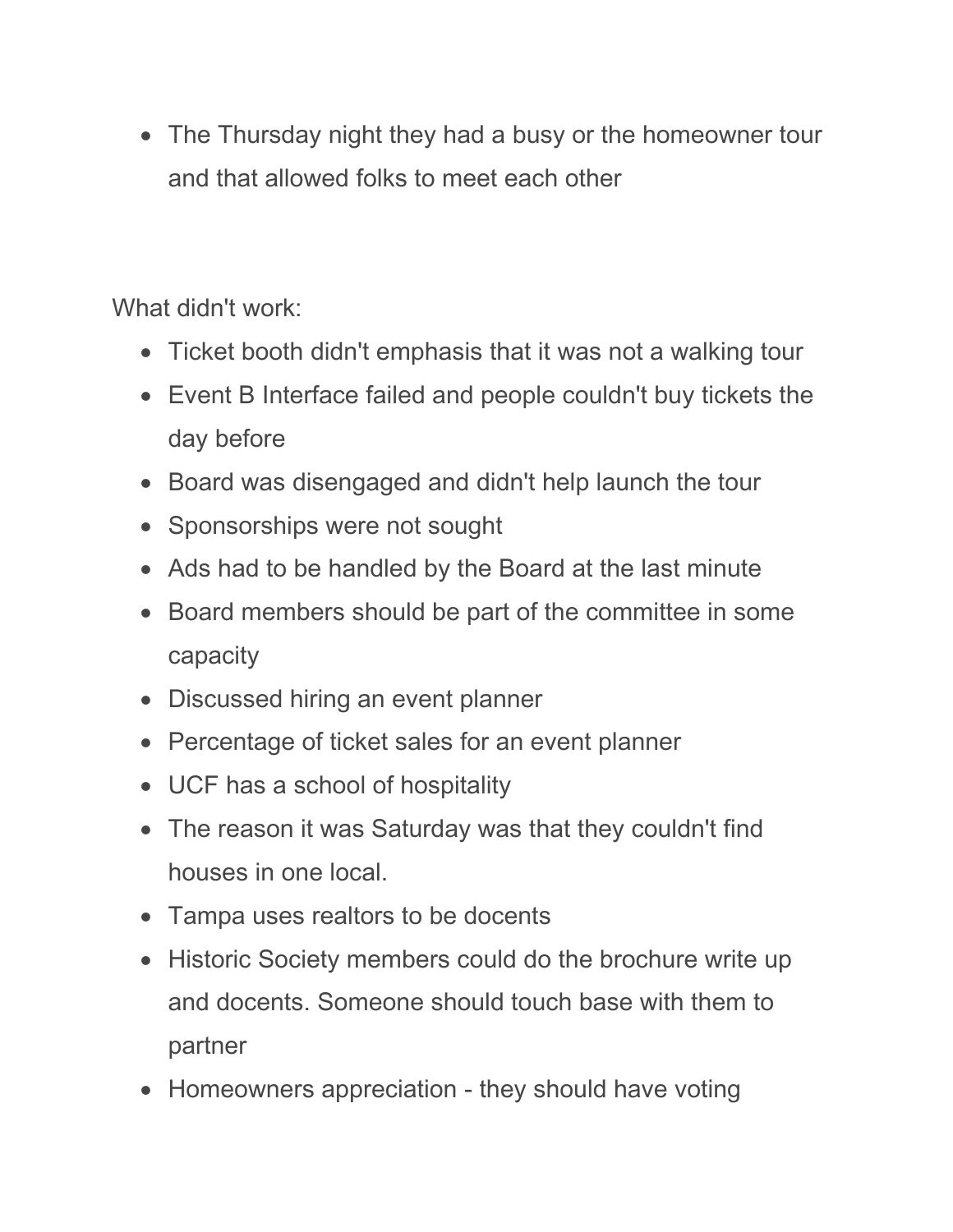• The Thursday night they had a busy or the homeowner tour and that allowed folks to meet each other

What didn't work:

- Ticket booth didn't emphasis that it was not a walking tour
- Event B Interface failed and people couldn't buy tickets the day before
- Board was disengaged and didn't help launch the tour
- Sponsorships were not sought
- Ads had to be handled by the Board at the last minute
- Board members should be part of the committee in some capacity
- Discussed hiring an event planner
- Percentage of ticket sales for an event planner
- UCF has a school of hospitality
- The reason it was Saturday was that they couldn't find houses in one local.
- Tampa uses realtors to be docents
- Historic Society members could do the brochure write up and docents. Someone should touch base with them to partner
- Homeowners appreciation they should have voting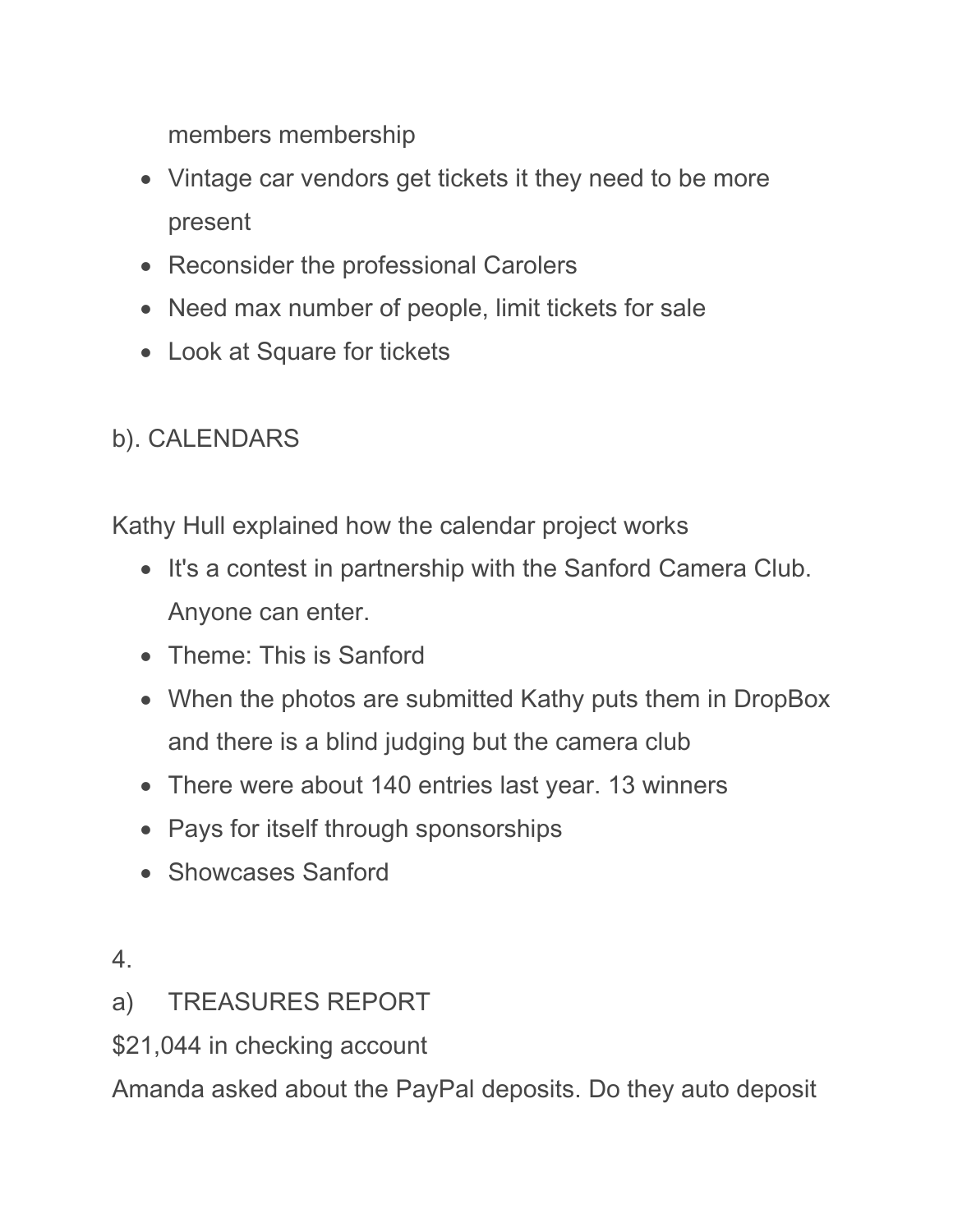members membership

- Vintage car vendors get tickets it they need to be more present
- Reconsider the professional Carolers
- Need max number of people, limit tickets for sale
- Look at Square for tickets

## b). CALENDARS

Kathy Hull explained how the calendar project works

- It's a contest in partnership with the Sanford Camera Club. Anyone can enter.
- Theme: This is Sanford
- When the photos are submitted Kathy puts them in DropBox and there is a blind judging but the camera club
- There were about 140 entries last year. 13 winners
- Pays for itself through sponsorships
- Showcases Sanford
- 4.
- a) TREASURES REPORT
- \$21,044 in checking account

Amanda asked about the PayPal deposits. Do they auto deposit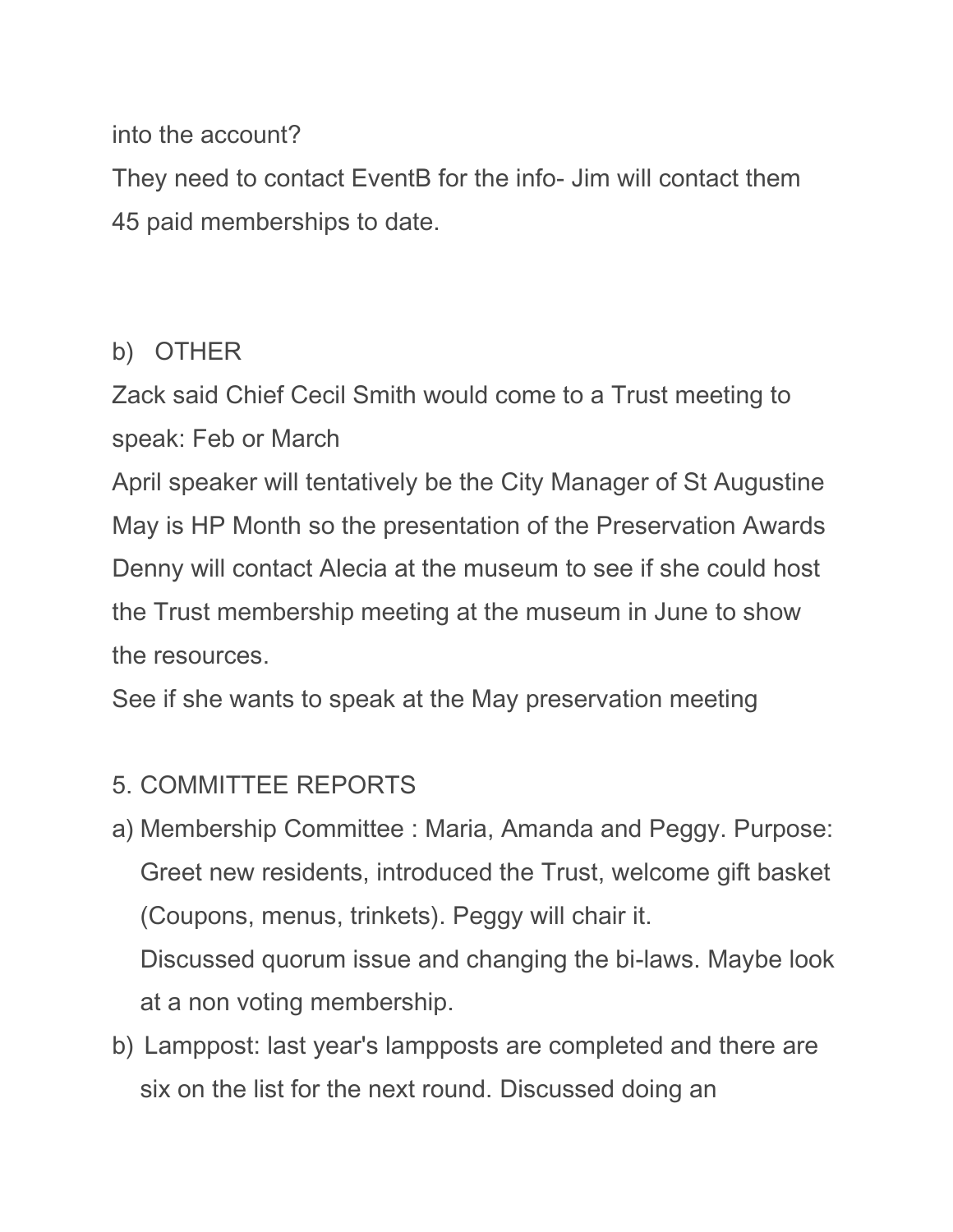### into the account?

They need to contact EventB for the info- Jim will contact them 45 paid memberships to date.

### b) OTHER

Zack said Chief Cecil Smith would come to a Trust meeting to speak: Feb or March

April speaker will tentatively be the City Manager of St Augustine May is HP Month so the presentation of the Preservation Awards Denny will contact Alecia at the museum to see if she could host the Trust membership meeting at the museum in June to show the resources.

See if she wants to speak at the May preservation meeting

## 5. COMMITTEE REPORTS

- a) Membership Committee : Maria, Amanda and Peggy. Purpose: Greet new residents, introduced the Trust, welcome gift basket (Coupons, menus, trinkets). Peggy will chair it. Discussed quorum issue and changing the bi-laws. Maybe look at a non voting membership.
- b) Lamppost: last year's lampposts are completed and there are six on the list for the next round. Discussed doing an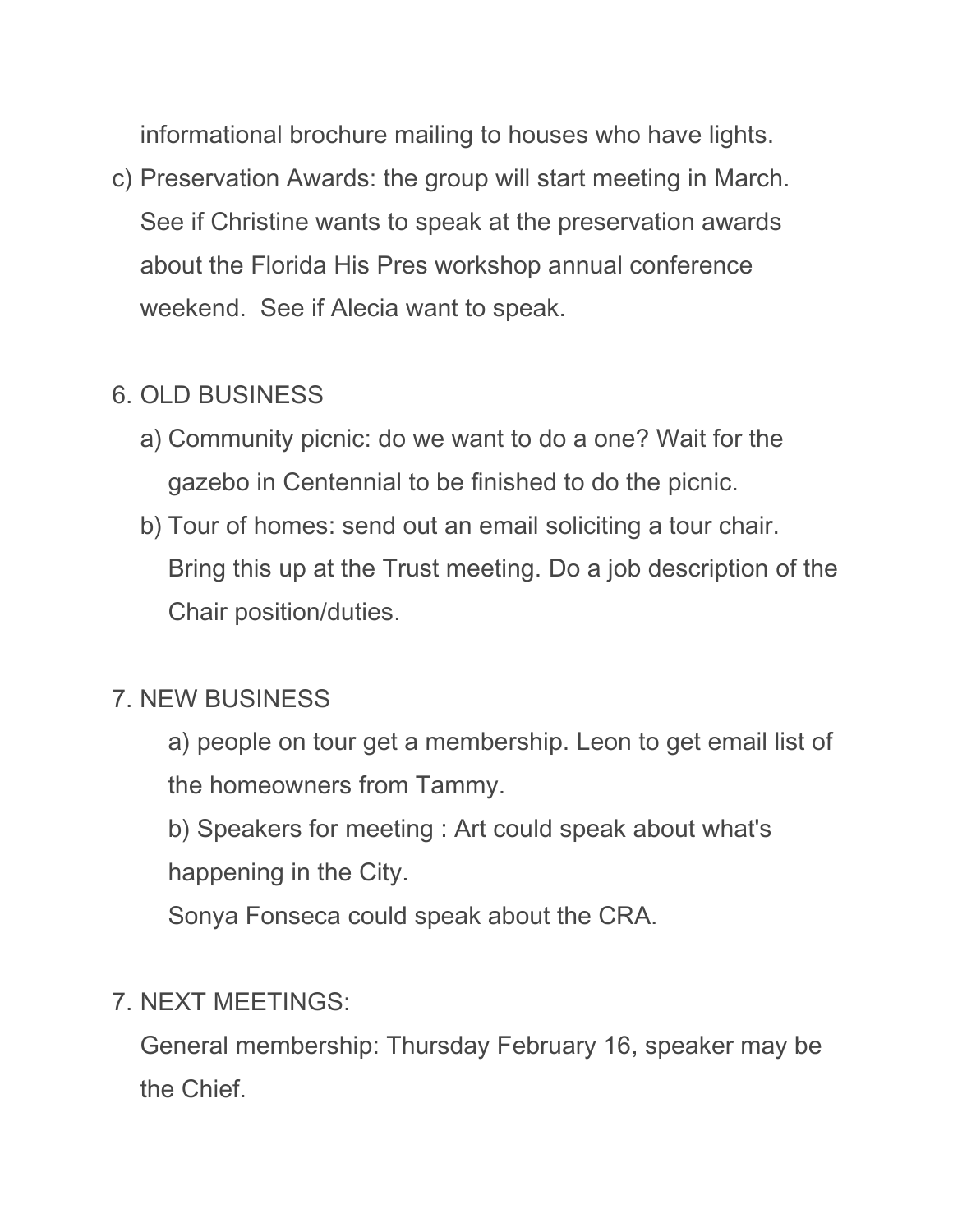informational brochure mailing to houses who have lights.

c) Preservation Awards: the group will start meeting in March. See if Christine wants to speak at the preservation awards about the Florida His Pres workshop annual conference weekend. See if Alecia want to speak.

#### 6. OLD BUSINESS

- a) Community picnic: do we want to do a one? Wait for the gazebo in Centennial to be finished to do the picnic.
- b) Tour of homes: send out an email soliciting a tour chair. Bring this up at the Trust meeting. Do a job description of the Chair position/duties.

#### 7. NEW BUSINESS

- a) people on tour get a membership. Leon to get email list of the homeowners from Tammy.
- b) Speakers for meeting : Art could speak about what's happening in the City.

Sonya Fonseca could speak about the CRA.

#### 7. NEXT MEETINGS:

General membership: Thursday February 16, speaker may be the Chief.